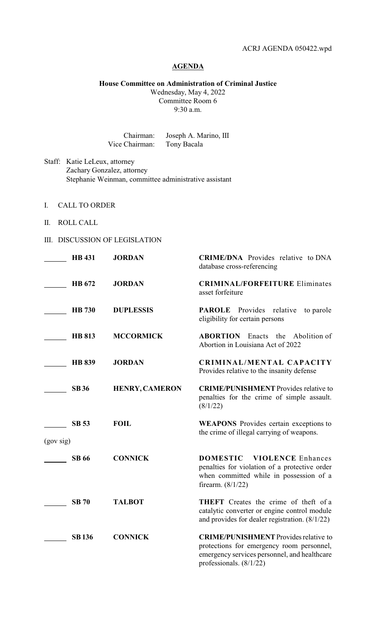## **AGENDA**

**House Committee on Administration of Criminal Justice**

Wednesday, May 4, 2022 Committee Room 6 9:30 a.m.

Chairman: Joseph A. Marino, III Vice Chairman: Tony Bacala

Staff: Katie LeLeux, attorney Zachary Gonzalez, attorney Stephanie Weinman, committee administrative assistant

- I. CALL TO ORDER
- II. ROLL CALL

## III. DISCUSSION OF LEGISLATION

|           | <b>HB</b> 431 | <b>JORDAN</b>         | <b>CRIME/DNA</b> Provides relative to DNA<br>database cross-referencing                                                                                                |
|-----------|---------------|-----------------------|------------------------------------------------------------------------------------------------------------------------------------------------------------------------|
|           | HB 672        | <b>JORDAN</b>         | <b>CRIMINAL/FORFEITURE Eliminates</b><br>asset forfeiture                                                                                                              |
|           | <b>HB</b> 730 | <b>DUPLESSIS</b>      | <b>PAROLE</b> Provides relative<br>to parole<br>eligibility for certain persons                                                                                        |
|           | <b>HB 813</b> | <b>MCCORMICK</b>      | <b>ABORTION</b><br>Enacts the Abolition of<br>Abortion in Louisiana Act of 2022                                                                                        |
|           | <b>HB 839</b> | <b>JORDAN</b>         | CRIMINAL/MENTAL CAPACITY<br>Provides relative to the insanity defense                                                                                                  |
|           | <b>SB36</b>   | <b>HENRY, CAMERON</b> | <b>CRIME/PUNISHMENT</b> Provides relative to<br>penalties for the crime of simple assault.<br>(8/1/22)                                                                 |
| (gov sig) | <b>SB 53</b>  | <b>FOIL</b>           | <b>WEAPONS</b> Provides certain exceptions to<br>the crime of illegal carrying of weapons.                                                                             |
|           | <b>SB 66</b>  | <b>CONNICK</b>        | <b>DOMESTIC</b><br><b>VIOLENCE Enhances</b><br>penalties for violation of a protective order<br>when committed while in possession of a<br>firearm. $(8/1/22)$         |
|           | <b>SB 70</b>  | <b>TALBOT</b>         | <b>THEFT</b> Creates the crime of theft of a<br>catalytic converter or engine control module<br>and provides for dealer registration. $(8/1/22)$                       |
|           | <b>SB136</b>  | <b>CONNICK</b>        | <b>CRIME/PUNISHMENT</b> Provides relative to<br>protections for emergency room personnel,<br>emergency services personnel, and healthcare<br>professionals. $(8/1/22)$ |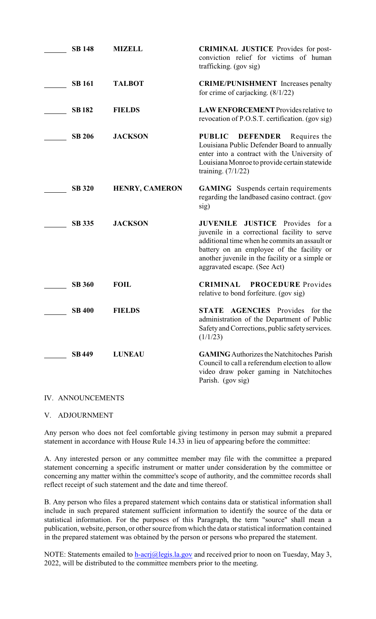| <b>SB 148</b> | <b>MIZELL</b>         | <b>CRIMINAL JUSTICE</b> Provides for post-<br>conviction relief for victims of human<br>trafficking. (gov sig)                                                                                                                                                                          |
|---------------|-----------------------|-----------------------------------------------------------------------------------------------------------------------------------------------------------------------------------------------------------------------------------------------------------------------------------------|
| <b>SB 161</b> | <b>TALBOT</b>         | <b>CRIME/PUNISHMENT</b> Increases penalty<br>for crime of carjacking. $(8/1/22)$                                                                                                                                                                                                        |
| <b>SB182</b>  | <b>FIELDS</b>         | <b>LAW ENFORCEMENT</b> Provides relative to<br>revocation of P.O.S.T. certification. (gov sig)                                                                                                                                                                                          |
| <b>SB 206</b> | <b>JACKSON</b>        | <b>PUBLIC</b><br><b>DEFENDER</b><br>Requires the<br>Louisiana Public Defender Board to annually<br>enter into a contract with the University of<br>Louisiana Monroe to provide certain statewide<br>training. $(7/1/22)$                                                                |
| <b>SB 320</b> | <b>HENRY, CAMERON</b> | <b>GAMING</b> Suspends certain requirements<br>regarding the landbased casino contract. (gov<br>sig)                                                                                                                                                                                    |
| <b>SB 335</b> | <b>JACKSON</b>        | <b>JUVENILE</b><br><b>JUSTICE</b><br>Provides<br>for a<br>juvenile in a correctional facility to serve<br>additional time when he commits an assault or<br>battery on an employee of the facility or<br>another juvenile in the facility or a simple or<br>aggravated escape. (See Act) |
| <b>SB 360</b> | <b>FOIL</b>           | <b>CRIMINAL</b><br><b>PROCEDURE</b> Provides<br>relative to bond forfeiture. (gov sig)                                                                                                                                                                                                  |
| <b>SB 400</b> | <b>FIELDS</b>         | <b>AGENCIES</b> Provides<br><b>STATE</b><br>for the<br>administration of the Department of Public<br>Safety and Corrections, public safety services.<br>(1/1/23)                                                                                                                        |
| <b>SB449</b>  | <b>LUNEAU</b>         | <b>GAMING</b> Authorizes the Natchitoches Parish<br>Council to call a referendum election to allow<br>video draw poker gaming in Natchitoches<br>Parish. (gov sig)                                                                                                                      |

## IV. ANNOUNCEMENTS

## V. ADJOURNMENT

Any person who does not feel comfortable giving testimony in person may submit a prepared statement in accordance with House Rule 14.33 in lieu of appearing before the committee:

A. Any interested person or any committee member may file with the committee a prepared statement concerning a specific instrument or matter under consideration by the committee or concerning any matter within the committee's scope of authority, and the committee records shall reflect receipt of such statement and the date and time thereof.

B. Any person who files a prepared statement which contains data or statistical information shall include in such prepared statement sufficient information to identify the source of the data or statistical information. For the purposes of this Paragraph, the term "source" shall mean a publication, website, person, or other source from which the data or statistical information contained in the prepared statement was obtained by the person or persons who prepared the statement.

NOTE: Statements emailed to h-acri@legis.la.gov and received prior to noon on Tuesday, May 3, 2022, will be distributed to the committee members prior to the meeting.